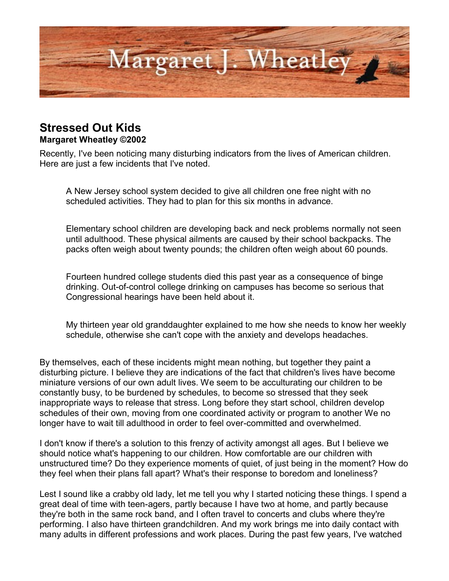

## **Stressed Out Kids**

## **Margaret Wheatley ©2002**

Recently, I've been noticing many disturbing indicators from the lives of American children. Here are just a few incidents that I've noted.

A New Jersey school system decided to give all children one free night with no scheduled activities. They had to plan for this six months in advance.

Elementary school children are developing back and neck problems normally not seen until adulthood. These physical ailments are caused by their school backpacks. The packs often weigh about twenty pounds; the children often weigh about 60 pounds.

Fourteen hundred college students died this past year as a consequence of binge drinking. Out-of-control college drinking on campuses has become so serious that Congressional hearings have been held about it.

My thirteen year old granddaughter explained to me how she needs to know her weekly schedule, otherwise she can't cope with the anxiety and develops headaches.

By themselves, each of these incidents might mean nothing, but together they paint a disturbing picture. I believe they are indications of the fact that children's lives have become miniature versions of our own adult lives. We seem to be acculturating our children to be constantly busy, to be burdened by schedules, to become so stressed that they seek inappropriate ways to release that stress. Long before they start school, children develop schedules of their own, moving from one coordinated activity or program to another We no longer have to wait till adulthood in order to feel over-committed and overwhelmed.

I don't know if there's a solution to this frenzy of activity amongst all ages. But I believe we should notice what's happening to our children. How comfortable are our children with unstructured time? Do they experience moments of quiet, of just being in the moment? How do they feel when their plans fall apart? What's their response to boredom and loneliness?

Lest I sound like a crabby old lady, let me tell you why I started noticing these things. I spend a great deal of time with teen-agers, partly because I have two at home, and partly because they're both in the same rock band, and I often travel to concerts and clubs where they're performing. I also have thirteen grandchildren. And my work brings me into daily contact with many adults in different professions and work places. During the past few years, I've watched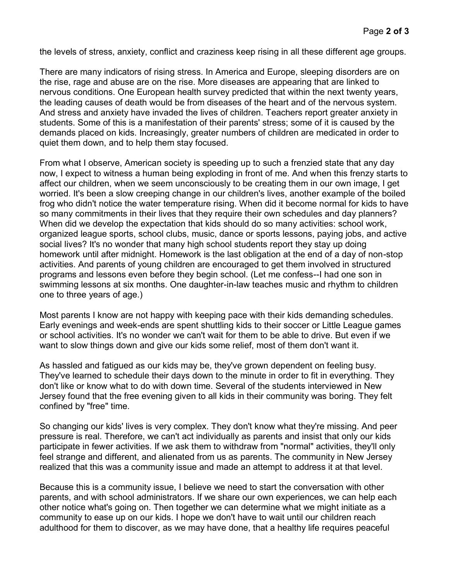the levels of stress, anxiety, conflict and craziness keep rising in all these different age groups.

There are many indicators of rising stress. In America and Europe, sleeping disorders are on the rise, rage and abuse are on the rise. More diseases are appearing that are linked to nervous conditions. One European health survey predicted that within the next twenty years, the leading causes of death would be from diseases of the heart and of the nervous system. And stress and anxiety have invaded the lives of children. Teachers report greater anxiety in students. Some of this is a manifestation of their parents' stress; some of it is caused by the demands placed on kids. Increasingly, greater numbers of children are medicated in order to quiet them down, and to help them stay focused.

From what I observe, American society is speeding up to such a frenzied state that any day now, I expect to witness a human being exploding in front of me. And when this frenzy starts to affect our children, when we seem unconsciously to be creating them in our own image, I get worried. It's been a slow creeping change in our children's lives, another example of the boiled frog who didn't notice the water temperature rising. When did it become normal for kids to have so many commitments in their lives that they require their own schedules and day planners? When did we develop the expectation that kids should do so many activities: school work, organized league sports, school clubs, music, dance or sports lessons, paying jobs, and active social lives? It's no wonder that many high school students report they stay up doing homework until after midnight. Homework is the last obligation at the end of a day of non-stop activities. And parents of young children are encouraged to get them involved in structured programs and lessons even before they begin school. (Let me confess--I had one son in swimming lessons at six months. One daughter-in-law teaches music and rhythm to children one to three years of age.)

Most parents I know are not happy with keeping pace with their kids demanding schedules. Early evenings and week-ends are spent shuttling kids to their soccer or Little League games or school activities. It's no wonder we can't wait for them to be able to drive. But even if we want to slow things down and give our kids some relief, most of them don't want it.

As hassled and fatigued as our kids may be, they've grown dependent on feeling busy. They've learned to schedule their days down to the minute in order to fit in everything. They don't like or know what to do with down time. Several of the students interviewed in New Jersey found that the free evening given to all kids in their community was boring. They felt confined by "free" time.

So changing our kids' lives is very complex. They don't know what they're missing. And peer pressure is real. Therefore, we can't act individually as parents and insist that only our kids participate in fewer activities. If we ask them to withdraw from "normal" activities, they'll only feel strange and different, and alienated from us as parents. The community in New Jersey realized that this was a community issue and made an attempt to address it at that level.

Because this is a community issue, I believe we need to start the conversation with other parents, and with school administrators. If we share our own experiences, we can help each other notice what's going on. Then together we can determine what we might initiate as a community to ease up on our kids. I hope we don't have to wait until our children reach adulthood for them to discover, as we may have done, that a healthy life requires peaceful